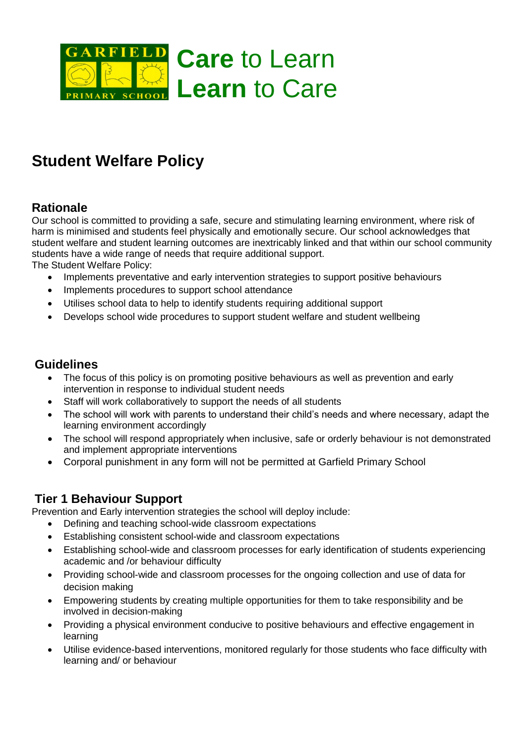

# **Student Welfare Policy**

## **Rationale**

Our school is committed to providing a safe, secure and stimulating learning environment, where risk of harm is minimised and students feel physically and emotionally secure. Our school acknowledges that student welfare and student learning outcomes are inextricably linked and that within our school community students have a wide range of needs that require additional support. The Student Welfare Policy:

- Implements preventative and early intervention strategies to support positive behaviours
- Implements procedures to support school attendance
- Utilises school data to help to identify students requiring additional support
- Develops school wide procedures to support student welfare and student wellbeing

#### **Guidelines**

- The focus of this policy is on promoting positive behaviours as well as prevention and early intervention in response to individual student needs
- Staff will work collaboratively to support the needs of all students
- The school will work with parents to understand their child's needs and where necessary, adapt the learning environment accordingly
- The school will respond appropriately when inclusive, safe or orderly behaviour is not demonstrated and implement appropriate interventions
- Corporal punishment in any form will not be permitted at Garfield Primary School

## **Tier 1 Behaviour Support**

Prevention and Early intervention strategies the school will deploy include:

- Defining and teaching school-wide classroom expectations
- Establishing consistent school-wide and classroom expectations
- Establishing school-wide and classroom processes for early identification of students experiencing academic and /or behaviour difficulty
- Providing school-wide and classroom processes for the ongoing collection and use of data for decision making
- Empowering students by creating multiple opportunities for them to take responsibility and be involved in decision-making
- Providing a physical environment conducive to positive behaviours and effective engagement in learning
- Utilise evidence-based interventions, monitored regularly for those students who face difficulty with learning and/ or behaviour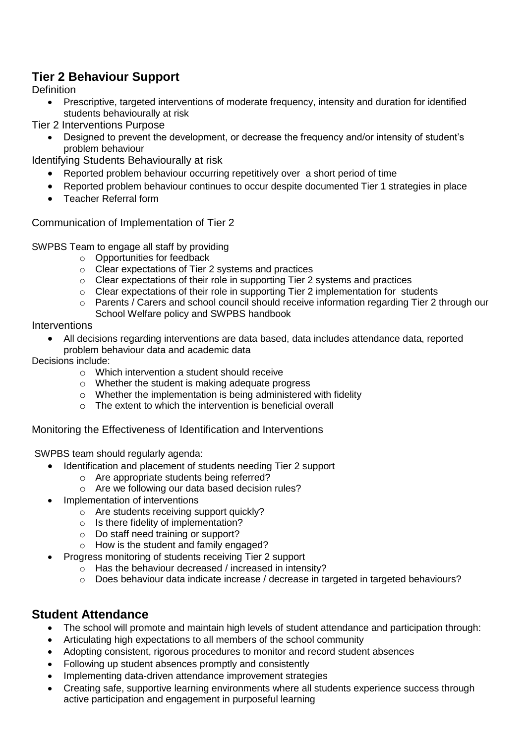## **Tier 2 Behaviour Support**

**Definition** 

 Prescriptive, targeted interventions of moderate frequency, intensity and duration for identified students behaviourally at risk

Tier 2 Interventions Purpose

 Designed to prevent the development, or decrease the frequency and/or intensity of student's problem behaviour

Identifying Students Behaviourally at risk

- Reported problem behaviour occurring repetitively over a short period of time
- Reported problem behaviour continues to occur despite documented Tier 1 strategies in place
- Teacher Referral form

Communication of Implementation of Tier 2

SWPBS Team to engage all staff by providing

- o Opportunities for feedback
- o Clear expectations of Tier 2 systems and practices
- $\circ$  Clear expectations of their role in supporting Tier 2 systems and practices
- o Clear expectations of their role in supporting Tier 2 implementation for students
- o Parents / Carers and school council should receive information regarding Tier 2 through our School Welfare policy and SWPBS handbook

Interventions

 All decisions regarding interventions are data based, data includes attendance data, reported problem behaviour data and academic data

Decisions include:

- o Which intervention a student should receive
- o Whether the student is making adequate progress
- o Whether the implementation is being administered with fidelity
- o The extent to which the intervention is beneficial overall

Monitoring the Effectiveness of Identification and Interventions

SWPBS team should regularly agenda:

- Identification and placement of students needing Tier 2 support
	- o Are appropriate students being referred?
	- o Are we following our data based decision rules?
- Implementation of interventions
	- $\circ$  Are students receiving support quickly?
	- o Is there fidelity of implementation?
	- o Do staff need training or support?
	- o How is the student and family engaged?
- Progress monitoring of students receiving Tier 2 support
	- o Has the behaviour decreased / increased in intensity?
	- o Does behaviour data indicate increase / decrease in targeted in targeted behaviours?

## **Student Attendance**

- The school will promote and maintain high levels of student attendance and participation through:
- Articulating high expectations to all members of the school community
- Adopting consistent, rigorous procedures to monitor and record student absences
- Following up student absences promptly and consistently
- Implementing data-driven attendance improvement strategies
- Creating safe, supportive learning environments where all students experience success through active participation and engagement in purposeful learning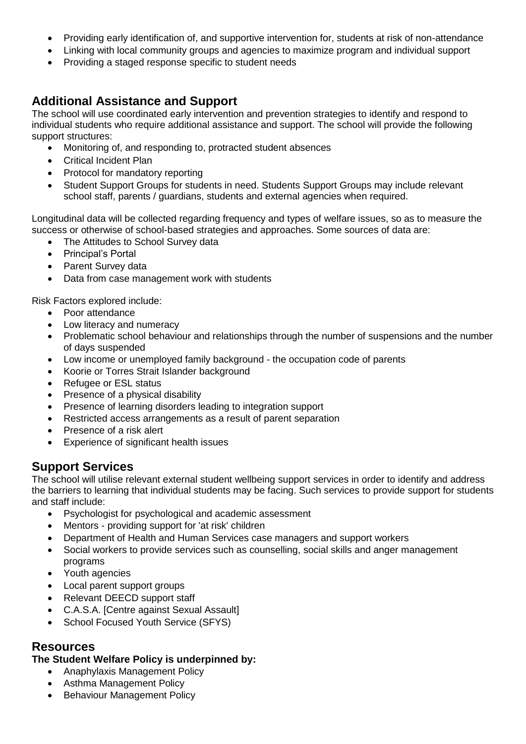- Providing early identification of, and supportive intervention for, students at risk of non-attendance
- Linking with local community groups and agencies to maximize program and individual support
- Providing a staged response specific to student needs

## **Additional Assistance and Support**

The school will use coordinated early intervention and prevention strategies to identify and respond to individual students who require additional assistance and support. The school will provide the following support structures:

- Monitoring of, and responding to, protracted student absences
- Critical Incident Plan
- Protocol for mandatory reporting
- Student Support Groups for students in need. Students Support Groups may include relevant school staff, parents / guardians, students and external agencies when required.

Longitudinal data will be collected regarding frequency and types of welfare issues, so as to measure the success or otherwise of school-based strategies and approaches. Some sources of data are:

- The Attitudes to School Survey data
- Principal's Portal
- Parent Survey data
- Data from case management work with students

Risk Factors explored include:

- Poor attendance
- Low literacy and numeracy
- Problematic school behaviour and relationships through the number of suspensions and the number of days suspended
- Low income or unemployed family background the occupation code of parents
- Koorie or Torres Strait Islander background
- Refugee or ESL status
- Presence of a physical disability
- Presence of learning disorders leading to integration support
- Restricted access arrangements as a result of parent separation
- Presence of a risk alert
- Experience of significant health issues

#### **Support Services**

The school will utilise relevant external student wellbeing support services in order to identify and address the barriers to learning that individual students may be facing. Such services to provide support for students and staff include:

- Psychologist for psychological and academic assessment
- Mentors providing support for 'at risk' children
- Department of Health and Human Services case managers and support workers
- Social workers to provide services such as counselling, social skills and anger management programs
- Youth agencies
- Local parent support groups
- Relevant DEECD support staff
- C.A.S.A. [Centre against Sexual Assault]
- School Focused Youth Service (SFYS)

#### **Resources**

#### **The Student Welfare Policy is underpinned by:**

- Anaphylaxis Management Policy
- Asthma Management Policy
- Behaviour Management Policy